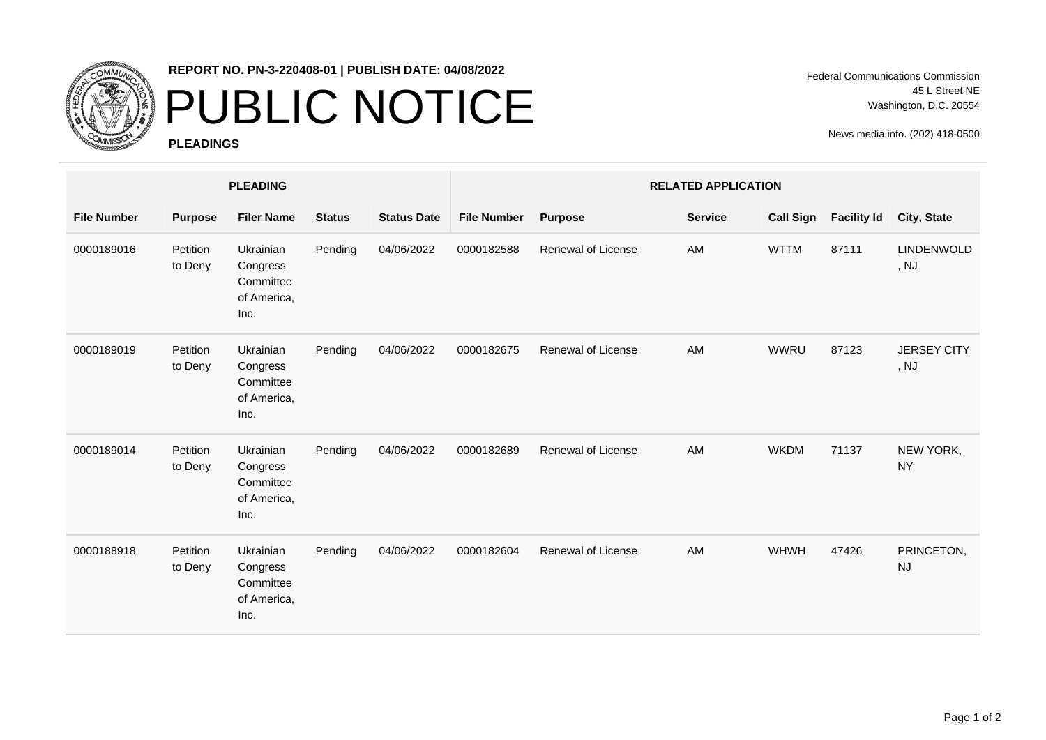

## **REPORT NO. PN-3-220408-01 | PUBLISH DATE: 04/08/2022**

## PUBLIC NOTICE

**PLEADINGS**

Federal Communications Commission 45 L Street NE Washington, D.C. 20554

News media info. (202) 418-0500

|                    | <b>PLEADING</b>     |                                                                  |               |                    | <b>RELATED APPLICATION</b> |                           |  |                |                  |                    |                            |
|--------------------|---------------------|------------------------------------------------------------------|---------------|--------------------|----------------------------|---------------------------|--|----------------|------------------|--------------------|----------------------------|
| <b>File Number</b> | <b>Purpose</b>      | <b>Filer Name</b>                                                | <b>Status</b> | <b>Status Date</b> | <b>File Number</b>         | <b>Purpose</b>            |  | <b>Service</b> | <b>Call Sign</b> | <b>Facility Id</b> | City, State                |
| 0000189016         | Petition<br>to Deny | Ukrainian<br>Congress<br>Committee<br>of America,<br>Inc.        | Pending       | 04/06/2022         | 0000182588                 | <b>Renewal of License</b> |  | AM             | <b>WTTM</b>      | 87111              | <b>LINDENWOLD</b><br>, NJ  |
| 0000189019         | Petition<br>to Deny | Ukrainian<br>Congress<br>Committee<br>of America,<br>Inc.        | Pending       | 04/06/2022         | 0000182675                 | Renewal of License        |  | AM             | <b>WWRU</b>      | 87123              | <b>JERSEY CITY</b><br>, NJ |
| 0000189014         | Petition<br>to Deny | <b>Ukrainian</b><br>Congress<br>Committee<br>of America,<br>Inc. | Pending       | 04/06/2022         | 0000182689                 | Renewal of License        |  | AM             | <b>WKDM</b>      | 71137              | NEW YORK,<br><b>NY</b>     |
| 0000188918         | Petition<br>to Deny | Ukrainian<br>Congress<br>Committee<br>of America,<br>Inc.        | Pending       | 04/06/2022         | 0000182604                 | Renewal of License        |  | AM             | WHWH             | 47426              | PRINCETON,<br><b>NJ</b>    |